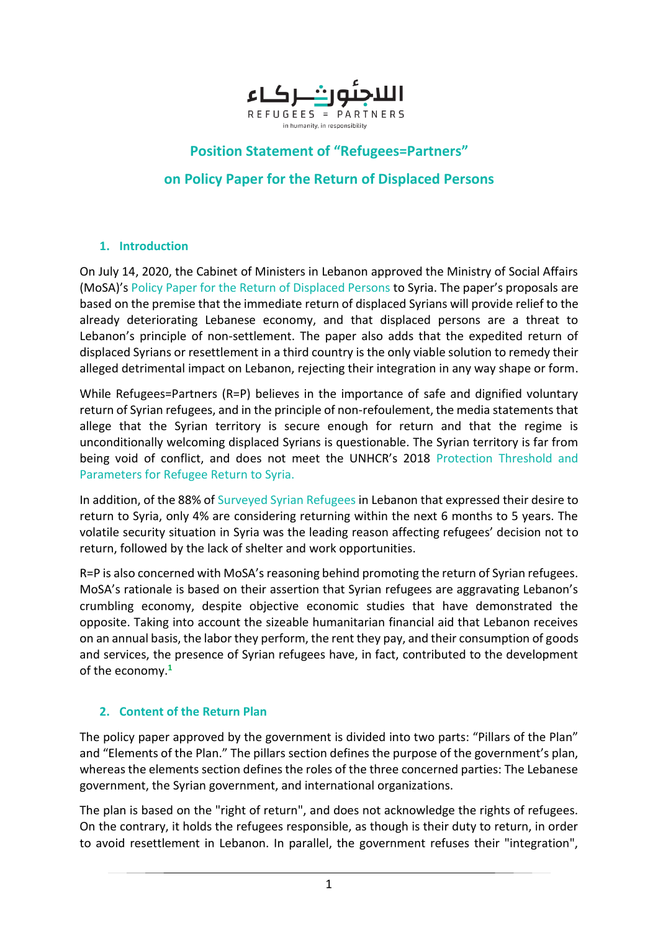

# **Position Statement of "Refugees=Partners"**

# **on Policy Paper for the Return of Displaced Persons**

#### **1. Introduction**

On July 14, 2020, the Cabinet of Ministers in Lebanon approved the Ministry of Social Affairs (MoSA)'s Policy Paper for the Return of Displaced Persons to Syria. The paper's proposals are based on the premise that the immediate return of displaced Syrians will provide relief to the already deteriorating Lebanese economy, and that displaced persons are a threat to Lebanon's principle of non-settlement. The paper also adds that the expedited return of displaced Syrians or resettlement in a third country is the only viable solution to remedy their alleged detrimental impact on Lebanon, rejecting their integration in any way shape or form.

While Refugees=Partners (R=P) believes in the importance of safe and dignified voluntary return of Syrian refugees, and in the principle of non-refoulement, the media statements that allege that the Syrian territory is secure enough for return and that the regime is unconditionally welcoming displaced Syrians is questionable. The Syrian territory is far from being void of conflict, and does not meet the UNHCR's 2018 [Protection Threshold and](https://data2.unhcr.org/en/documents/download/63223)  [Parameters for Refugee Return to Syria.](https://data2.unhcr.org/en/documents/download/63223) 

In addition, of the 88% of [Surveyed Syrian Refugees](https://data2.unhcr.org/en/documents/download/63310) in Lebanon that expressed their desire to return to Syria, only 4% are considering returning within the next 6 months to 5 years. The volatile security situation in Syria was the leading reason affecting refugees' decision not to return, followed by the lack of shelter and work opportunities.

R=P is also concerned with MoSA's reasoning behind promoting the return of Syrian refugees. MoSA's rationale is based on their assertion that Syrian refugees are aggravating Lebanon's crumbling economy, despite objective economic studies that have demonstrated the opposite. Taking into account the sizeable humanitarian financial aid that Lebanon receives on an annual basis, the labor they perform, the rent they pay, and their consumption of goods and services, the presence of Syrian refugees have, in fact, contributed to the development of the economy. **1**

## **2. Content of the Return Plan**

The policy paper approved by the government is divided into two parts: "Pillars of the Plan" and "Elements of the Plan." The pillars section defines the purpose of the government's plan, whereas the elements section defines the roles of the three concerned parties: The Lebanese government, the Syrian government, and international organizations.

The plan is based on the "right of return", and does not acknowledge the rights of refugees. On the contrary, it holds the refugees responsible, as though is their duty to return, in order to avoid resettlement in Lebanon. In parallel, the government refuses their "integration",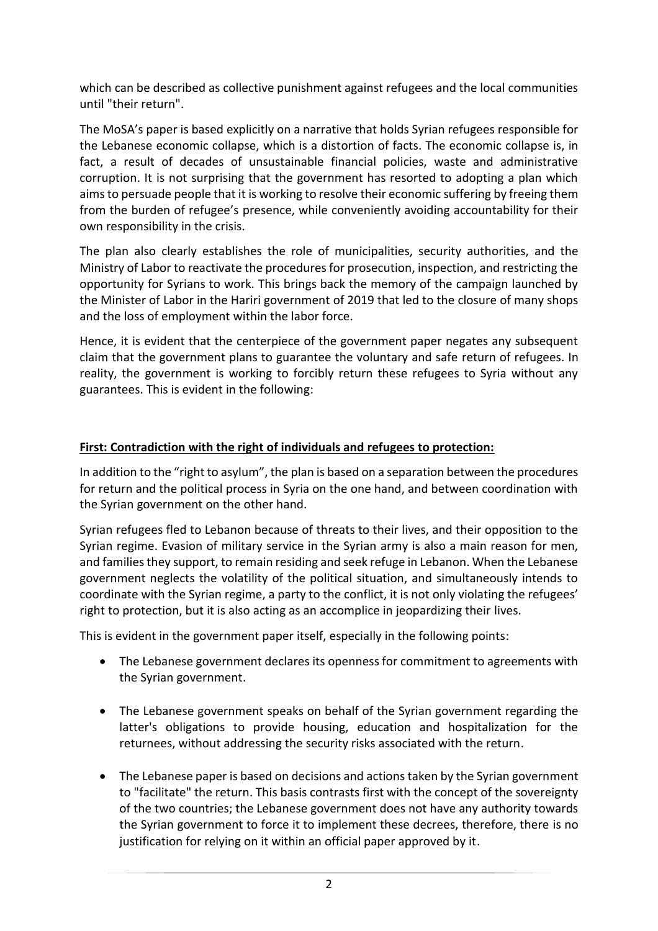which can be described as collective punishment against refugees and the local communities until "their return".

The MoSA's paper is based explicitly on a narrative that holds Syrian refugees responsible for the Lebanese economic collapse, which is a distortion of facts. The economic collapse is, in fact, a result of decades of unsustainable financial policies, waste and administrative corruption. It is not surprising that the government has resorted to adopting a plan which aims to persuade people that it is working to resolve their economic suffering by freeing them from the burden of refugee's presence, while conveniently avoiding accountability for their own responsibility in the crisis.

The plan also clearly establishes the role of municipalities, security authorities, and the Ministry of Labor to reactivate the procedures for prosecution, inspection, and restricting the opportunity for Syrians to work. This brings back the memory of the campaign launched by the Minister of Labor in the Hariri government of 2019 that led to the closure of many shops and the loss of employment within the labor force.

Hence, it is evident that the centerpiece of the government paper negates any subsequent claim that the government plans to guarantee the voluntary and safe return of refugees. In reality, the government is working to forcibly return these refugees to Syria without any guarantees. This is evident in the following:

# **First: Contradiction with the right of individuals and refugees to protection:**

In addition to the "right to asylum", the plan is based on a separation between the procedures for return and the political process in Syria on the one hand, and between coordination with the Syrian government on the other hand.

Syrian refugees fled to Lebanon because of threats to their lives, and their opposition to the Syrian regime. Evasion of military service in the Syrian army is also a main reason for men, and families they support, to remain residing and seek refuge in Lebanon. When the Lebanese government neglects the volatility of the political situation, and simultaneously intends to coordinate with the Syrian regime, a party to the conflict, it is not only violating the refugees' right to protection, but it is also acting as an accomplice in jeopardizing their lives.

This is evident in the government paper itself, especially in the following points:

- The Lebanese government declares its openness for commitment to agreements with the Syrian government.
- The Lebanese government speaks on behalf of the Syrian government regarding the latter's obligations to provide housing, education and hospitalization for the returnees, without addressing the security risks associated with the return.
- The Lebanese paper is based on decisions and actions taken by the Syrian government to "facilitate" the return. This basis contrasts first with the concept of the sovereignty of the two countries; the Lebanese government does not have any authority towards the Syrian government to force it to implement these decrees, therefore, there is no justification for relying on it within an official paper approved by it.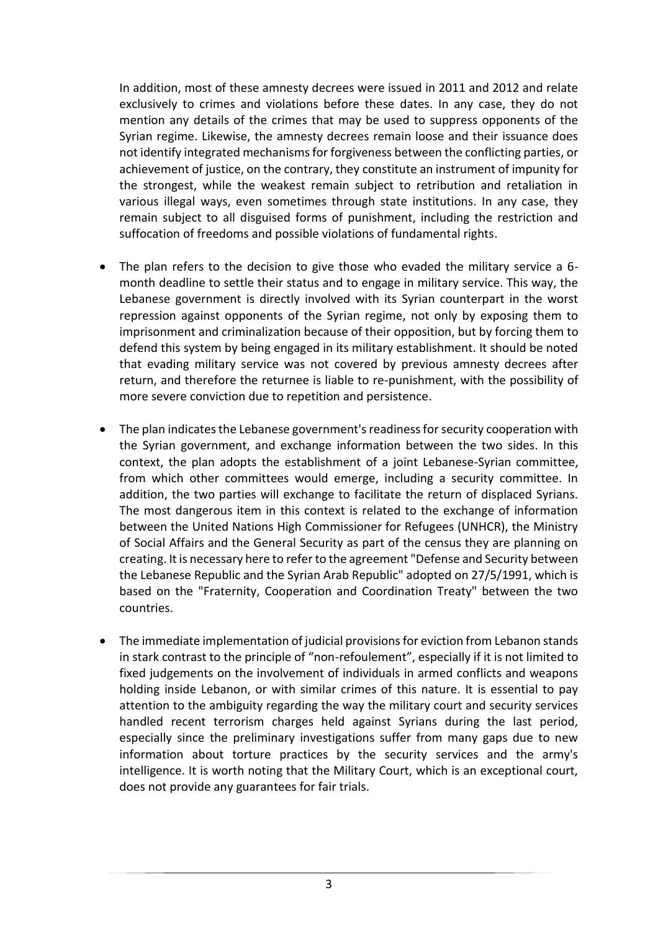In addition, most of these amnesty decrees were issued in 2011 and 2012 and relate exclusively to crimes and violations before these dates. In any case, they do not mention any details of the crimes that may be used to suppress opponents of the Syrian regime. Likewise, the amnesty decrees remain loose and their issuance does not identify integrated mechanisms for forgiveness between the conflicting parties, or achievement of justice, on the contrary, they constitute an instrument of impunity for the strongest, while the weakest remain subject to retribution and retaliation in various illegal ways, even sometimes through state institutions. In any case, they remain subject to all disguised forms of punishment, including the restriction and suffocation of freedoms and possible violations of fundamental rights.

- The plan refers to the decision to give those who evaded the military service a 6 month deadline to settle their status and to engage in military service. This way, the Lebanese government is directly involved with its Syrian counterpart in the worst repression against opponents of the Syrian regime, not only by exposing them to imprisonment and criminalization because of their opposition, but by forcing them to defend this system by being engaged in its military establishment. It should be noted that evading military service was not covered by previous amnesty decrees after return, and therefore the returnee is liable to re-punishment, with the possibility of more severe conviction due to repetition and persistence.
- The plan indicates the Lebanese government's readiness for security cooperation with the Syrian government, and exchange information between the two sides. In this context, the plan adopts the establishment of a joint Lebanese-Syrian committee, from which other committees would emerge, including a security committee. In addition, the two parties will exchange to facilitate the return of displaced Syrians. The most dangerous item in this context is related to the exchange of information between the United Nations High Commissioner for Refugees (UNHCR), the Ministry of Social Affairs and the General Security as part of the census they are planning on creating. It is necessary here to refer to the agreement "Defense and Security between the Lebanese Republic and the Syrian Arab Republic" adopted on 27/5/1991, which is based on the "Fraternity, Cooperation and Coordination Treaty" between the two countries.
- The immediate implementation of judicial provisions for eviction from Lebanon stands in stark contrast to the principle of "non-refoulement", especially if it is not limited to fixed judgements on the involvement of individuals in armed conflicts and weapons holding inside Lebanon, or with similar crimes of this nature. It is essential to pay attention to the ambiguity regarding the way the military court and security services handled recent terrorism charges held against Syrians during the last period, especially since the preliminary investigations suffer from many gaps due to new information about torture practices by the security services and the army's intelligence. It is worth noting that the Military Court, which is an exceptional court, does not provide any guarantees for fair trials.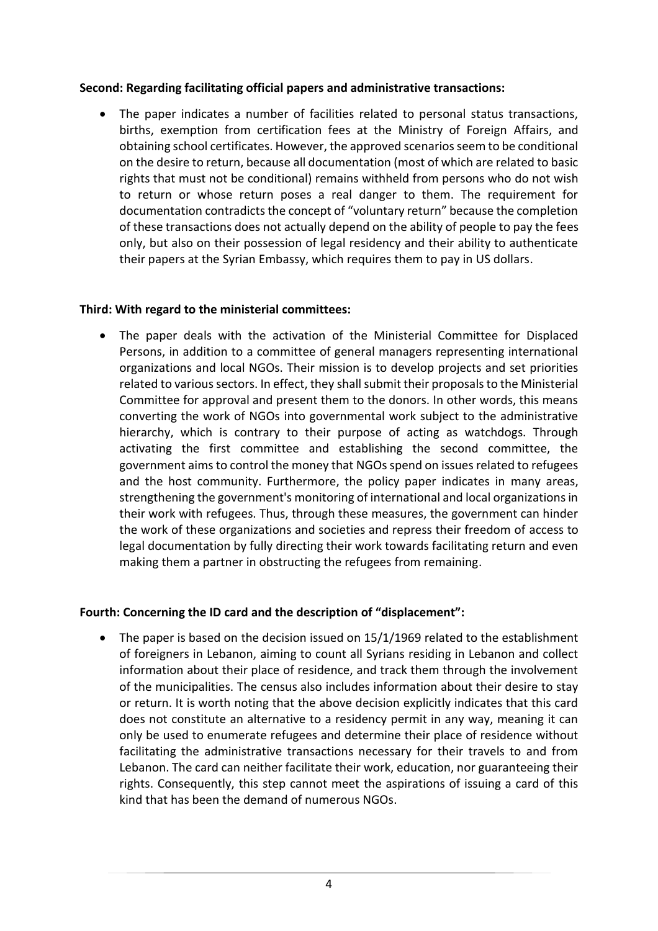#### **Second: Regarding facilitating official papers and administrative transactions:**

 The paper indicates a number of facilities related to personal status transactions, births, exemption from certification fees at the Ministry of Foreign Affairs, and obtaining school certificates. However, the approved scenarios seem to be conditional on the desire to return, because all documentation (most of which are related to basic rights that must not be conditional) remains withheld from persons who do not wish to return or whose return poses a real danger to them. The requirement for documentation contradicts the concept of "voluntary return" because the completion of these transactions does not actually depend on the ability of people to pay the fees only, but also on their possession of legal residency and their ability to authenticate their papers at the Syrian Embassy, which requires them to pay in US dollars.

#### **Third: With regard to the ministerial committees:**

 The paper deals with the activation of the Ministerial Committee for Displaced Persons, in addition to a committee of general managers representing international organizations and local NGOs. Their mission is to develop projects and set priorities related to various sectors. In effect, they shall submit their proposals to the Ministerial Committee for approval and present them to the donors. In other words, this means converting the work of NGOs into governmental work subject to the administrative hierarchy, which is contrary to their purpose of acting as watchdogs. Through activating the first committee and establishing the second committee, the government aims to control the money that NGOs spend on issues related to refugees and the host community. Furthermore, the policy paper indicates in many areas, strengthening the government's monitoring of international and local organizations in their work with refugees. Thus, through these measures, the government can hinder the work of these organizations and societies and repress their freedom of access to legal documentation by fully directing their work towards facilitating return and even making them a partner in obstructing the refugees from remaining.

## **Fourth: Concerning the ID card and the description of "displacement":**

• The paper is based on the decision issued on 15/1/1969 related to the establishment of foreigners in Lebanon, aiming to count all Syrians residing in Lebanon and collect information about their place of residence, and track them through the involvement of the municipalities. The census also includes information about their desire to stay or return. It is worth noting that the above decision explicitly indicates that this card does not constitute an alternative to a residency permit in any way, meaning it can only be used to enumerate refugees and determine their place of residence without facilitating the administrative transactions necessary for their travels to and from Lebanon. The card can neither facilitate their work, education, nor guaranteeing their rights. Consequently, this step cannot meet the aspirations of issuing a card of this kind that has been the demand of numerous NGOs.